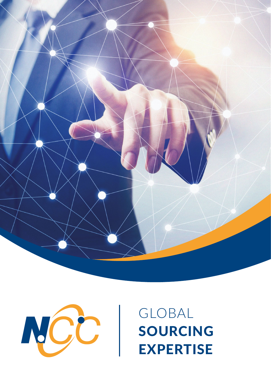



# GLOBAL SOURCING EXPERTISE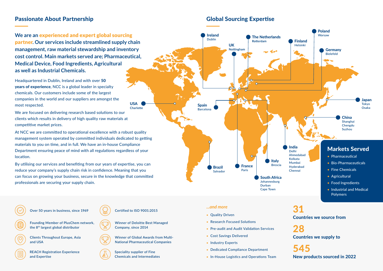**We are an** experienced and expert global sourcing partner**. Our services include streamlined supply chain management, raw material stewardship and inventory cost control. Main markets served are; Pharmaceutical, Medical Device, Food Ingredients, Agricultural as well as Industrial Chemicals.**

Headquartered in Dublin, Ireland and with over 50 years of experience, NCC is a global leader in specialty chemicals. Our customers include some of the largest companies in the world and our suppliers are amongst the most respected.

We are focused on delivering research based solutions to our clients which results in delivery of high quality raw materials at competitive market prices.

At NCC we are committed to operational excellence with a robust quality management system operated by committed individuals dedicated to getting materials to you on time, and in full. We have an in-house Compliance Department ensuring peace of mind with all regulations regardless of your location.

By utilising our services and benefiting from our years of expertise, you can reduce your company's supply chain risk in confidence. Meaning that you can focus on growing your business, secure in the knowledge that committed professionals are securing your supply chain.

## Passionate About Partnership

**Over 50 years in business, since 1969 Certified to ISO 9001:2015**



**Clients Throughout Europe, Asia and USA**



**Winner of Global Awards from Multi-National Pharmaceutical Companies**

**REACH Registration Experience and Expertise**



**Speciality supplier of Fine Chemicals and Intermediates**

**Founding Member of PlusChem network,** 

**the 8th largest global distributor**



**Winner of Deloitte Best Managed Company, since 2014**

#### *...and more*

- Quality Driven
- Research Focused Solutions
- Pre-audit and Audit Validation Services
- Cost Savings Delivered
- Industry Experts
- Dedicated Compliance Department
- In-House Logistics and Operations Team

## Global Sourcing Expertise

## Countries we source from 31

Countries we supply to 28

545 New products sourced in 2022